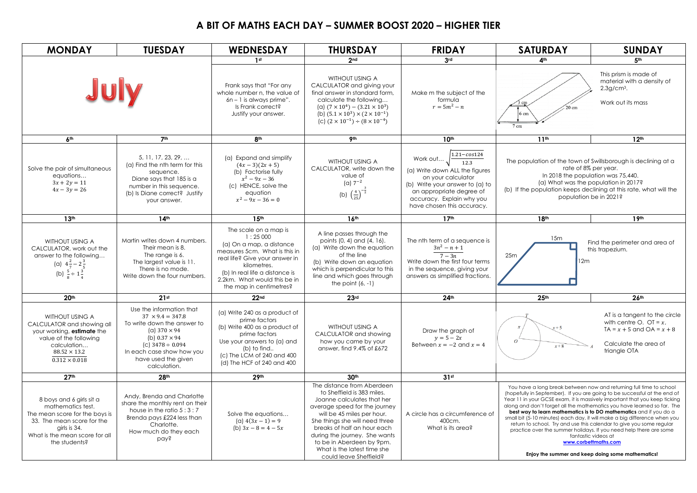## **A BIT OF MATHS EACH DAY – SUMMER BOOST 2020 – HIGHER TIER**

| <b>MONDAY</b>                                                                                                                                                                    | <b>TUESDAY</b>                                                                                                                                                                                                                 | <b>WEDNESDAY</b>                                                                                                                                                                                                                            | <b>THURSDAY</b>                                                                                                                                                                                                                                                                                                                               | <b>FRIDAY</b>                                                                                                                                                                                                                       | <b>SATURDAY</b>                                                                                                                                                                                                                                                                                                                                                                                                                                                                                                                                                                                                                                                                                                | <b>SUNDAY</b>                                                                                                                        |  |
|----------------------------------------------------------------------------------------------------------------------------------------------------------------------------------|--------------------------------------------------------------------------------------------------------------------------------------------------------------------------------------------------------------------------------|---------------------------------------------------------------------------------------------------------------------------------------------------------------------------------------------------------------------------------------------|-----------------------------------------------------------------------------------------------------------------------------------------------------------------------------------------------------------------------------------------------------------------------------------------------------------------------------------------------|-------------------------------------------------------------------------------------------------------------------------------------------------------------------------------------------------------------------------------------|----------------------------------------------------------------------------------------------------------------------------------------------------------------------------------------------------------------------------------------------------------------------------------------------------------------------------------------------------------------------------------------------------------------------------------------------------------------------------------------------------------------------------------------------------------------------------------------------------------------------------------------------------------------------------------------------------------------|--------------------------------------------------------------------------------------------------------------------------------------|--|
|                                                                                                                                                                                  |                                                                                                                                                                                                                                | 1 <sub>st</sub>                                                                                                                                                                                                                             | 2nd                                                                                                                                                                                                                                                                                                                                           | 3rd                                                                                                                                                                                                                                 | A <sub>th</sub>                                                                                                                                                                                                                                                                                                                                                                                                                                                                                                                                                                                                                                                                                                | 5th                                                                                                                                  |  |
| July                                                                                                                                                                             |                                                                                                                                                                                                                                | Frank says that "For any<br>whole number n, the value of<br>$6n - 1$ is always prime".<br>Is Frank correct?<br>Justify your answer.                                                                                                         | WITHOUT USING A<br>CALCULATOR and giving your<br>final answer in standard form,<br>calculate the following<br>(a) $(7 \times 10^4) - (3.21 \times 10^3)$<br>(b) $(5.1 \times 10^3) \times (2 \times 10^{-1})$<br>(c) $(2 \times 10^{-1}) \div (8 \times 10^{-4})$                                                                             | Make m the subject of the<br>formula<br>$r = 5m^2 - n$                                                                                                                                                                              | This prism is made of<br>material with a density of<br>$2.3$ g/cm <sup>3</sup> .<br>Work out its mass<br>3 cm<br>5 cn<br>7 cm                                                                                                                                                                                                                                                                                                                                                                                                                                                                                                                                                                                  |                                                                                                                                      |  |
| 6 <sup>th</sup>                                                                                                                                                                  | 7 <sup>th</sup>                                                                                                                                                                                                                | 8 <sup>th</sup>                                                                                                                                                                                                                             | 9 <sub>th</sub>                                                                                                                                                                                                                                                                                                                               | 10 <sup>th</sup>                                                                                                                                                                                                                    | 11 <sup>th</sup>                                                                                                                                                                                                                                                                                                                                                                                                                                                                                                                                                                                                                                                                                               | 12 <sup>th</sup>                                                                                                                     |  |
| Solve the pair of simultaneous<br>equations<br>$3x + 2y = 11$<br>$4x - 3y = 26$                                                                                                  | 5.11.17.23.29<br>(a) Find the nth term for this<br>sequence.<br>Diane says that 185 is a<br>number in this sequence.<br>(b) Is Diane correct? Justify<br>your answer.                                                          | (a) Expand and simplify<br>$(4x-3)(2x+5)$<br>(b) Factorise fully<br>$x^2 - 9x - 36$<br>(c) HENCE, solve the<br>equation<br>$x^2 - 9x - 36 = 0$                                                                                              | WITHOUT USING A<br>CALCULATOR, write down the<br>value of<br>(a) $7^{-2}$<br>(b) $\left(\frac{4}{25}\right)^{-\frac{3}{2}}$                                                                                                                                                                                                                   | $1.21 - cos 124$<br>Work out<br>$\overline{12.3}$<br>(a) Write down ALL the figures<br>on your calculator<br>(b) Write your answer to (a) to<br>an appropriate degree of<br>accuracy. Explain why you<br>have chosen this accuracy. | The population of the town of Swillsborough is declining at a<br>rate of 8% per year.<br>In 2018 the population was 75,440.<br>(a) What was the population in 2017?<br>(b) If the population keeps declining at this rate, what will the<br>population be in 2021?                                                                                                                                                                                                                                                                                                                                                                                                                                             |                                                                                                                                      |  |
| 13 <sup>th</sup>                                                                                                                                                                 | 14 <sup>th</sup>                                                                                                                                                                                                               | 15 <sup>th</sup>                                                                                                                                                                                                                            | 16 <sup>th</sup>                                                                                                                                                                                                                                                                                                                              | 17 <sup>th</sup>                                                                                                                                                                                                                    | 18th                                                                                                                                                                                                                                                                                                                                                                                                                                                                                                                                                                                                                                                                                                           | 19 <sup>th</sup>                                                                                                                     |  |
| <b>WITHOUT USING A</b><br>CALCULATOR, work out the<br>answer to the following<br>(a) $4\frac{2}{7}-2\frac{3}{5}$<br>(b) $\frac{5}{8} \div 1\frac{3}{4}$                          | Martin writes down 4 numbers.<br>Their mean is 8.<br>The range is 6.<br>The largest value is 11.<br>There is no mode.<br>Write down the four numbers.                                                                          | The scale on a map is<br>1:25000<br>(a) On a map, a distance<br>measures 5cm. What is this in<br>real life? Give your answer in<br>kilometres.<br>(b) In real life a distance is<br>2.2km. What would this be in<br>the map in centimetres? | A line passes through the<br>points (0, 4) and (4, 16).<br>(a) Write down the equation<br>of the line<br>(b) Write down an equation<br>which is perpendicular to this<br>line and which goes through<br>the point $(6, -1)$                                                                                                                   | The nth term of a sequence is<br>$3n^2 - n + 1$<br>$7-3n$<br>Write down the first four terms<br>in the sequence, giving your<br>answers as simplified fractions.                                                                    | 15m<br>25m<br>12m                                                                                                                                                                                                                                                                                                                                                                                                                                                                                                                                                                                                                                                                                              | Find the perimeter and area of<br>this trapezium.                                                                                    |  |
| 20 <sup>th</sup>                                                                                                                                                                 | 21st                                                                                                                                                                                                                           | 22 <sub>nd</sub>                                                                                                                                                                                                                            | 23 <sub>rd</sub>                                                                                                                                                                                                                                                                                                                              | 24 <sup>th</sup>                                                                                                                                                                                                                    | 25 <sup>th</sup>                                                                                                                                                                                                                                                                                                                                                                                                                                                                                                                                                                                                                                                                                               | 26 <sup>th</sup>                                                                                                                     |  |
| WITHOUT USING A<br>CALCULATOR and showing all<br>your working, estimate the<br>value of the following<br>calculation<br>$88.52 \times 13.2$<br>$0.312 \times 0.018$              | Use the information that<br>$37 \times 9.4 = 347.8$<br>To write down the answer to<br>(a) $370 \times 94$<br>(b) $0.37 \times 94$<br>(c) $3478 \div 0.094$<br>In each case show how you<br>have used the given<br>calculation. | (a) Write 240 as a product of<br>prime factors<br>(b) Write 400 as a product of<br>prime factors<br>Use your answers to (a) and<br>(b) to find<br>(c) The LCM of 240 and 400<br>(d) The HCF of 240 and 400                                  | WITHOUT USING A<br>CALCULATOR and showing<br>how you came by your<br>answer, find 9.4% of £672                                                                                                                                                                                                                                                | Draw the graph of<br>$y = 5 - 2x$<br>Between $x = -2$ and $x = 4$                                                                                                                                                                   | $\Omega$<br>$x+8$                                                                                                                                                                                                                                                                                                                                                                                                                                                                                                                                                                                                                                                                                              | AT is a tangent to the circle<br>with centre O. OT = $x$ ,<br>$TA = x + 5$ and $OA = x + 8$<br>Calculate the area of<br>triangle OTA |  |
| 27 <sup>th</sup>                                                                                                                                                                 | 28 <sup>th</sup>                                                                                                                                                                                                               | 29 <sup>th</sup>                                                                                                                                                                                                                            | 30 <sup>th</sup>                                                                                                                                                                                                                                                                                                                              | 31st                                                                                                                                                                                                                                |                                                                                                                                                                                                                                                                                                                                                                                                                                                                                                                                                                                                                                                                                                                |                                                                                                                                      |  |
| 8 boys and 6 girls sit a<br>mathematics test.<br>The mean score for the boys is<br>33. The mean score for the<br>girls is 34.<br>What is the mean score for all<br>the students? | Andy, Brenda and Charlotte<br>share the monthly rent on their<br>house in the ratio $5:3:7$<br>Brenda pays £224 less than<br>Charlotte.<br>How much do they each<br>pay?                                                       | Solve the equations<br>(a) $4(3x-1) = 9$<br>(b) $3x - 8 = 4 - 5x$                                                                                                                                                                           | The distance from Aberdeen<br>to Sheffield is 383 miles.<br>Joanne calculates that her<br>average speed for the journey<br>will be 45 miles per hour.<br>She things she will need three<br>breaks of half an hour each<br>during the journey. She wants<br>to be in Aberdeen by 9pm.<br>What is the latest time she<br>could leave Sheffield? | A circle has a circumference of<br>400cm.<br>What is its area?                                                                                                                                                                      | You have a long break between now and returning full time to school<br>(hopefully in September). If you are going to be successful at the end of<br>Year 11 in your GCSE exam, it is massively important that you keep ticking<br>along and don't forget all the mathematics you have learned so far. The<br>best way to learn mathematics is to DO mathematics and if you do a<br>small bit (5-10 minutes) each day, it will make a big difference when you<br>return to school. Try and use this calendar to give you some regular<br>practice over the summer holidays. If you need help there are some<br>fantastic videos at<br>www.corbettmaths.com<br>Enjoy the summer and keep doing some mathematics! |                                                                                                                                      |  |